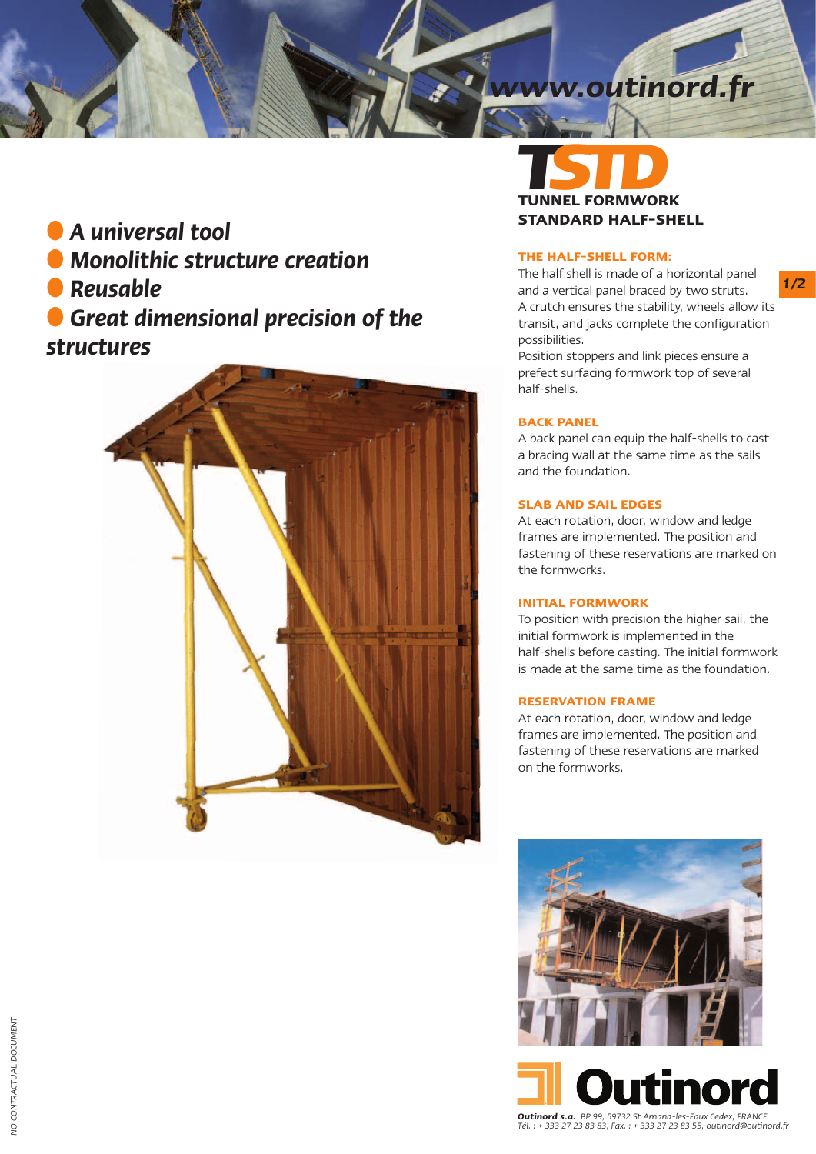# *www.outinord.fr*

### ● *A universal tool*

- *Monolithic structure creation*
- *Reusable*

● *Great dimensional precision of the structures*



## **TUNN TUNNEL FORMWORK STANDARD HALF-SHELL**

#### **THE HALF-SHELL FORM:**

*1/2*

The half shell is made of a horizontal panel and a vertical panel braced by two struts. A crutch ensures the stability, wheels allow its transit, and jacks complete the configuration possibilities.

Position stoppers and link pieces ensure a prefect surfacing formwork top of several half-shells.

#### **BACK PANEL**

A back panel can equip the half-shells to cast a bracing wall at the same time as the sails and the foundation.

#### **SLAB AND SAIL EDGES**

At each rotation, door, window and ledge frames are implemented. The position and fastening of these reservations are marked on the formworks.

#### **INITIAL FORMWORK**

To position with precision the higher sail, the initial formwork is implemented in the half-shells before casting. The initial formwork is made at the same time as the foundation.

#### **RESERVATION FRAME**

At each rotation, door, window and ledge frames are implemented. The position and fastening of these reservations are marked on the formworks.